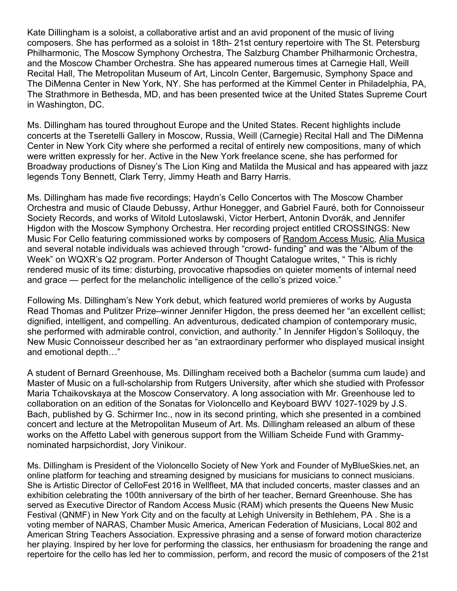Kate Dillingham is a soloist, a collaborative artist and an avid proponent of the music of living composers. She has performed as a soloist in 18th- 21st century repertoire with The St. Petersburg Philharmonic, The Moscow Symphony Orchestra, The Salzburg Chamber Philharmonic Orchestra, and the Moscow Chamber Orchestra. She has appeared numerous times at Carnegie Hall, Weill Recital Hall, The Metropolitan Museum of Art, Lincoln Center, Bargemusic, Symphony Space and The DiMenna Center in New York, NY. She has performed at the Kimmel Center in Philadelphia, PA, The Strathmore in Bethesda, MD, and has been presented twice at the United States Supreme Court in Washington, DC.

Ms. Dillingham has toured throughout Europe and the United States. Recent highlights include concerts at the Tseretelli Gallery in Moscow, Russia, Weill (Carnegie) Recital Hall and The DiMenna Center in New York City where she performed a recital of entirely new compositions, many of which were written expressly for her. Active in the New York freelance scene, she has performed for Broadway productions of Disney's The Lion King and Matilda the Musical and has appeared with jazz legends Tony Bennett, Clark Terry, Jimmy Heath and Barry Harris.

Ms. Dillingham has made five recordings; Haydn's Cello Concertos with The Moscow Chamber Orchestra and music of Claude Debussy, Arthur Honegger, and Gabriel Fauré, both for Connoisseur Society Records, and works of Witold Lutoslawski, Victor Herbert, Antonin Dvorák, and Jennifer Higdon with the Moscow Symphony Orchestra. Her recording project entitled CROSSINGS: New Music For Cello featuring commissioned works by composers of Random Access Music, Alia Musica and several notable individuals was achieved through "crowd- funding" and was the "Album of the Week" on WQXR's Q2 program. Porter Anderson of Thought Catalogue writes, " This is richly rendered music of its time: disturbing, provocative rhapsodies on quieter moments of internal need and grace — perfect for the melancholic intelligence of the cello's prized voice."

Following Ms. Dillingham's New York debut, which featured world premieres of works by Augusta Read Thomas and Pulitzer Prize–winner Jennifer Higdon, the press deemed her "an excellent cellist; dignified, intelligent, and compelling. An adventurous, dedicated champion of contemporary music, she performed with admirable control, conviction, and authority." In Jennifer Higdon's Soliloquy, the New Music Connoisseur described her as "an extraordinary performer who displayed musical insight and emotional depth…"

A student of Bernard Greenhouse, Ms. Dillingham received both a Bachelor (summa cum laude) and Master of Music on a full-scholarship from Rutgers University, after which she studied with Professor Maria Tchaikovskaya at the Moscow Conservatory. A long association with Mr. Greenhouse led to collaboration on an edition of the Sonatas for Violoncello and Keyboard BWV 1027-1029 by J.S. Bach, published by G. Schirmer Inc., now in its second printing, which she presented in a combined concert and lecture at the Metropolitan Museum of Art. Ms. Dillingham released an album of these works on the Affetto Label with generous support from the William Scheide Fund with Grammynominated harpsichordist, Jory Vinikour.

Ms. Dillingham is President of the Violoncello Society of New York and Founder of MyBlueSkies.net, an online platform for teaching and streaming designed by musicians for musicians to connect musicians. She is Artistic Director of CelloFest 2016 in Wellfleet, MA that included concerts, master classes and an exhibition celebrating the 100th anniversary of the birth of her teacher, Bernard Greenhouse. She has served as Executive Director of Random Access Music (RAM) which presents the Queens New Music Festival (QNMF) in New York City and on the faculty at Lehigh University in Bethlehem, PA . She is a voting member of NARAS, Chamber Music America, American Federation of Musicians, Local 802 and American String Teachers Association. Expressive phrasing and a sense of forward motion characterize her playing. Inspired by her love for performing the classics, her enthusiasm for broadening the range and repertoire for the cello has led her to commission, perform, and record the music of composers of the 21st